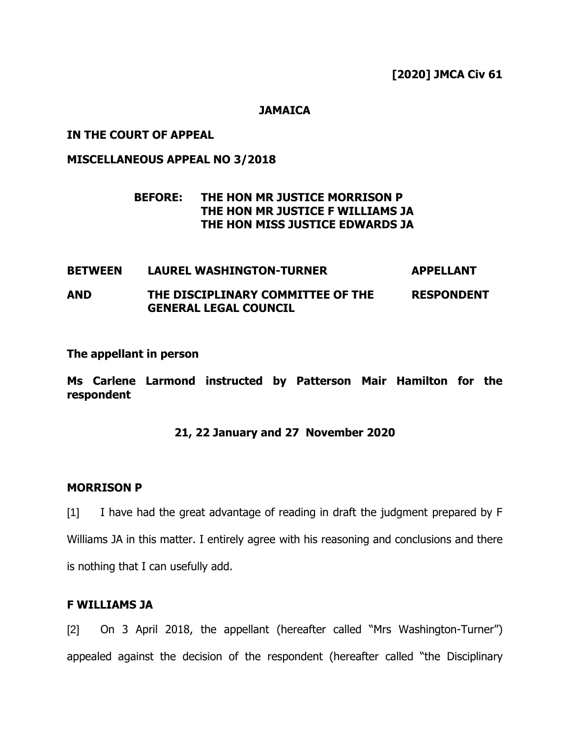#### **JAMAICA**

### **IN THE COURT OF APPEAL**

### **MISCELLANEOUS APPEAL NO 3/2018**

# **BEFORE: THE HON MR JUSTICE MORRISON P THE HON MR JUSTICE F WILLIAMS JA THE HON MISS JUSTICE EDWARDS JA**

#### **BETWEEN LAUREL WASHINGTON-TURNER APPELLANT AND THE DISCIPLINARY COMMITTEE OF THE GENERAL LEGAL COUNCIL RESPONDENT**

#### **The appellant in person**

**Ms Carlene Larmond instructed by Patterson Mair Hamilton for the respondent**

# **21, 22 January and 27 November 2020**

### **MORRISON P**

[1] I have had the great advantage of reading in draft the judgment prepared by F Williams JA in this matter. I entirely agree with his reasoning and conclusions and there is nothing that I can usefully add.

#### **F WILLIAMS JA**

[2] On 3 April 2018, the appellant (hereafter called "Mrs Washington-Turner") appealed against the decision of the respondent (hereafter called "the Disciplinary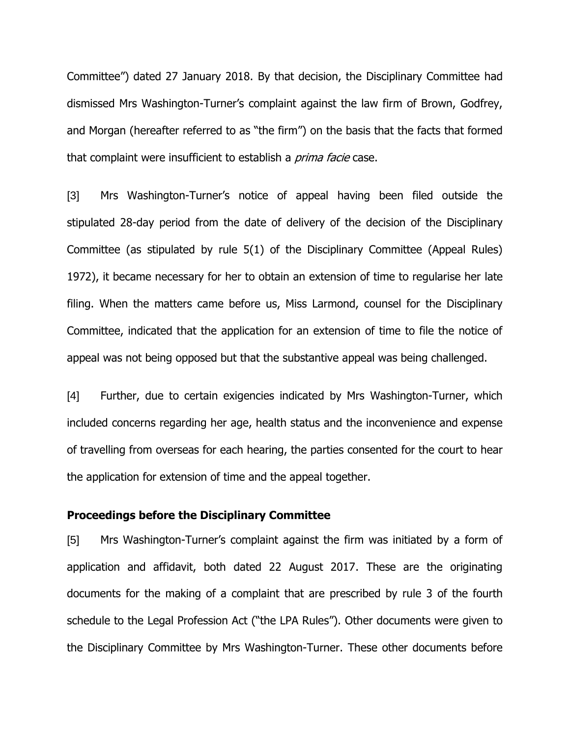Committee") dated 27 January 2018. By that decision, the Disciplinary Committee had dismissed Mrs Washington-Turner's complaint against the law firm of Brown, Godfrey, and Morgan (hereafter referred to as "the firm") on the basis that the facts that formed that complaint were insufficient to establish a *prima facie* case.

[3] Mrs Washington-Turner's notice of appeal having been filed outside the stipulated 28-day period from the date of delivery of the decision of the Disciplinary Committee (as stipulated by rule 5(1) of the Disciplinary Committee (Appeal Rules) 1972), it became necessary for her to obtain an extension of time to regularise her late filing. When the matters came before us, Miss Larmond, counsel for the Disciplinary Committee, indicated that the application for an extension of time to file the notice of appeal was not being opposed but that the substantive appeal was being challenged.

[4] Further, due to certain exigencies indicated by Mrs Washington-Turner, which included concerns regarding her age, health status and the inconvenience and expense of travelling from overseas for each hearing, the parties consented for the court to hear the application for extension of time and the appeal together.

#### **Proceedings before the Disciplinary Committee**

[5] Mrs Washington-Turner's complaint against the firm was initiated by a form of application and affidavit, both dated 22 August 2017. These are the originating documents for the making of a complaint that are prescribed by rule 3 of the fourth schedule to the Legal Profession Act ("the LPA Rules"). Other documents were given to the Disciplinary Committee by Mrs Washington-Turner. These other documents before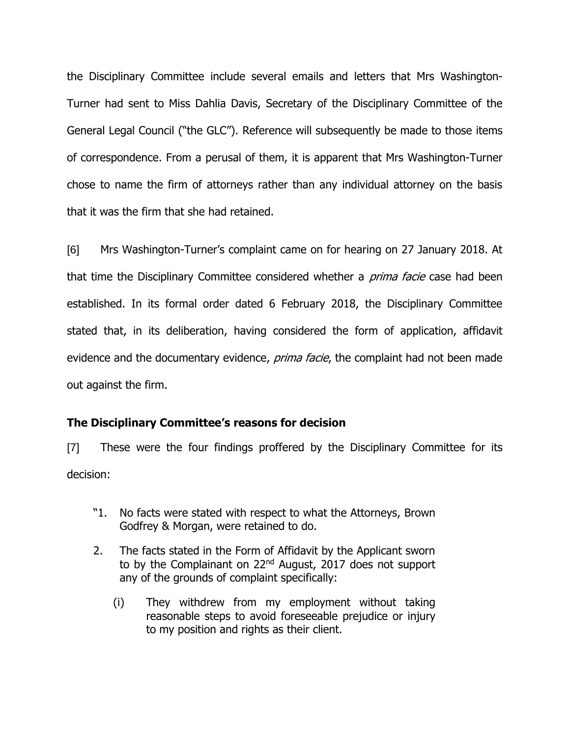the Disciplinary Committee include several emails and letters that Mrs Washington-Turner had sent to Miss Dahlia Davis, Secretary of the Disciplinary Committee of the General Legal Council ("the GLC"). Reference will subsequently be made to those items of correspondence. From a perusal of them, it is apparent that Mrs Washington-Turner chose to name the firm of attorneys rather than any individual attorney on the basis that it was the firm that she had retained.

[6] Mrs Washington-Turner's complaint came on for hearing on 27 January 2018. At that time the Disciplinary Committee considered whether a *prima facie* case had been established. In its formal order dated 6 February 2018, the Disciplinary Committee stated that, in its deliberation, having considered the form of application, affidavit evidence and the documentary evidence, *prima facie*, the complaint had not been made out against the firm.

# **The Disciplinary Committee's reasons for decision**

[7] These were the four findings proffered by the Disciplinary Committee for its decision:

- "1. No facts were stated with respect to what the Attorneys, Brown Godfrey & Morgan, were retained to do.
- 2. The facts stated in the Form of Affidavit by the Applicant sworn to by the Complainant on 22<sup>nd</sup> August, 2017 does not support any of the grounds of complaint specifically:
	- (i) They withdrew from my employment without taking reasonable steps to avoid foreseeable prejudice or injury to my position and rights as their client.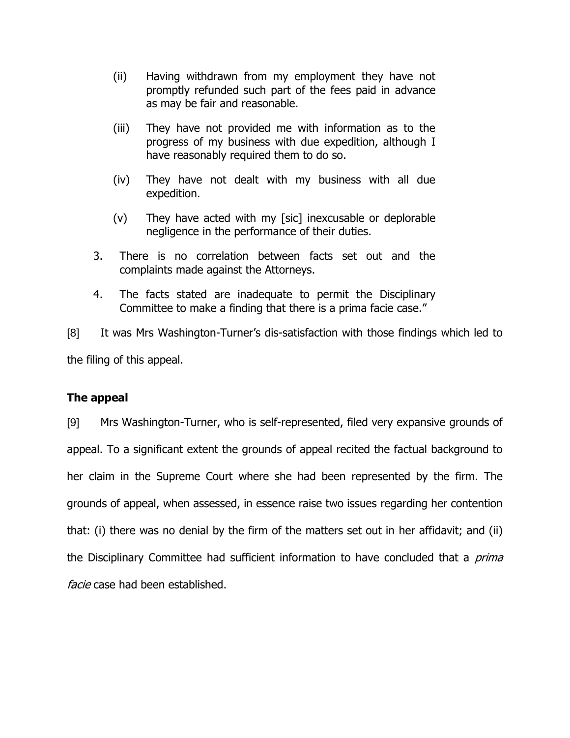- (ii) Having withdrawn from my employment they have not promptly refunded such part of the fees paid in advance as may be fair and reasonable.
- (iii) They have not provided me with information as to the progress of my business with due expedition, although I have reasonably required them to do so.
- (iv) They have not dealt with my business with all due expedition.
- (v) They have acted with my [sic] inexcusable or deplorable negligence in the performance of their duties.
- 3. There is no correlation between facts set out and the complaints made against the Attorneys.
- 4. The facts stated are inadequate to permit the Disciplinary Committee to make a finding that there is a prima facie case."

[8] It was Mrs Washington-Turner's dis-satisfaction with those findings which led to the filing of this appeal.

# **The appeal**

[9] Mrs Washington-Turner, who is self-represented, filed very expansive grounds of appeal. To a significant extent the grounds of appeal recited the factual background to her claim in the Supreme Court where she had been represented by the firm. The grounds of appeal, when assessed, in essence raise two issues regarding her contention that: (i) there was no denial by the firm of the matters set out in her affidavit; and (ii) the Disciplinary Committee had sufficient information to have concluded that a *prima* facie case had been established.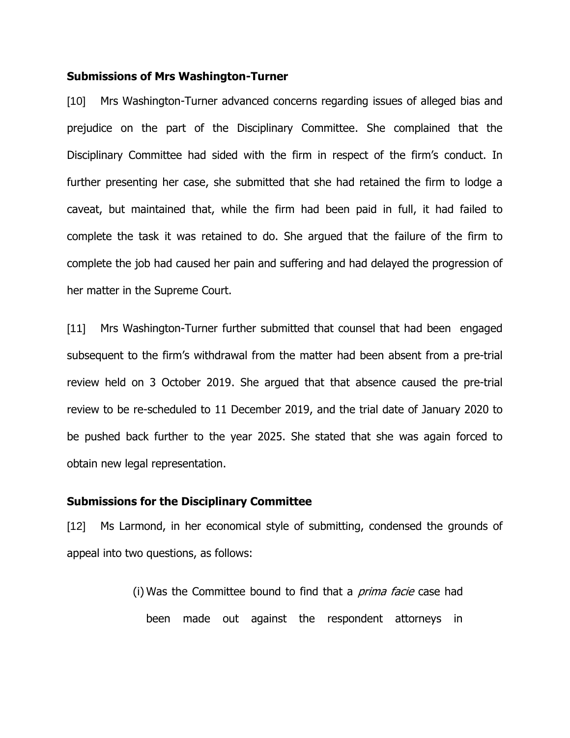#### **Submissions of Mrs Washington-Turner**

[10] Mrs Washington-Turner advanced concerns regarding issues of alleged bias and prejudice on the part of the Disciplinary Committee. She complained that the Disciplinary Committee had sided with the firm in respect of the firm's conduct. In further presenting her case, she submitted that she had retained the firm to lodge a caveat, but maintained that, while the firm had been paid in full, it had failed to complete the task it was retained to do. She argued that the failure of the firm to complete the job had caused her pain and suffering and had delayed the progression of her matter in the Supreme Court.

[11] Mrs Washington-Turner further submitted that counsel that had been engaged subsequent to the firm's withdrawal from the matter had been absent from a pre-trial review held on 3 October 2019. She argued that that absence caused the pre-trial review to be re-scheduled to 11 December 2019, and the trial date of January 2020 to be pushed back further to the year 2025. She stated that she was again forced to obtain new legal representation.

#### **Submissions for the Disciplinary Committee**

[12] Ms Larmond, in her economical style of submitting, condensed the grounds of appeal into two questions, as follows:

> (i) Was the Committee bound to find that a *prima facie* case had been made out against the respondent attorneys in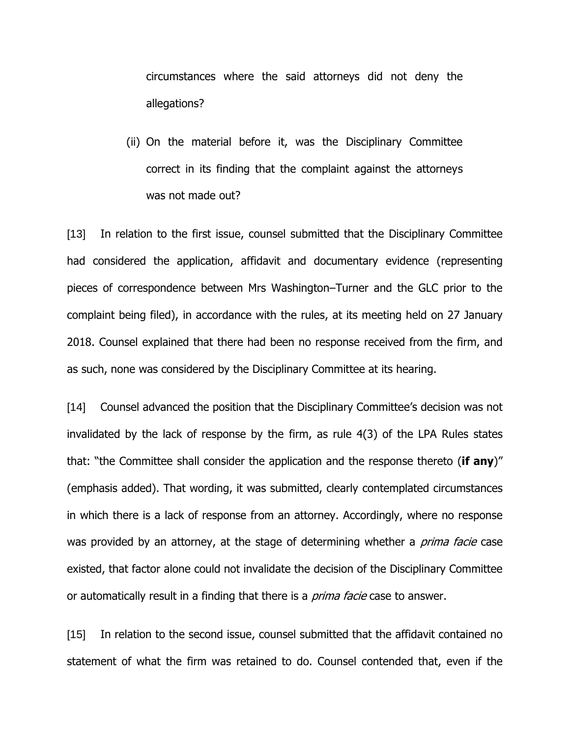circumstances where the said attorneys did not deny the allegations?

(ii) On the material before it, was the Disciplinary Committee correct in its finding that the complaint against the attorneys was not made out?

[13] In relation to the first issue, counsel submitted that the Disciplinary Committee had considered the application, affidavit and documentary evidence (representing pieces of correspondence between Mrs Washington–Turner and the GLC prior to the complaint being filed), in accordance with the rules, at its meeting held on 27 January 2018. Counsel explained that there had been no response received from the firm, and as such, none was considered by the Disciplinary Committee at its hearing.

[14] Counsel advanced the position that the Disciplinary Committee's decision was not invalidated by the lack of response by the firm, as rule 4(3) of the LPA Rules states that: "the Committee shall consider the application and the response thereto (**if any**)" (emphasis added). That wording, it was submitted, clearly contemplated circumstances in which there is a lack of response from an attorney. Accordingly, where no response was provided by an attorney, at the stage of determining whether a *prima facie* case existed, that factor alone could not invalidate the decision of the Disciplinary Committee or automatically result in a finding that there is a *prima facie* case to answer.

[15] In relation to the second issue, counsel submitted that the affidavit contained no statement of what the firm was retained to do. Counsel contended that, even if the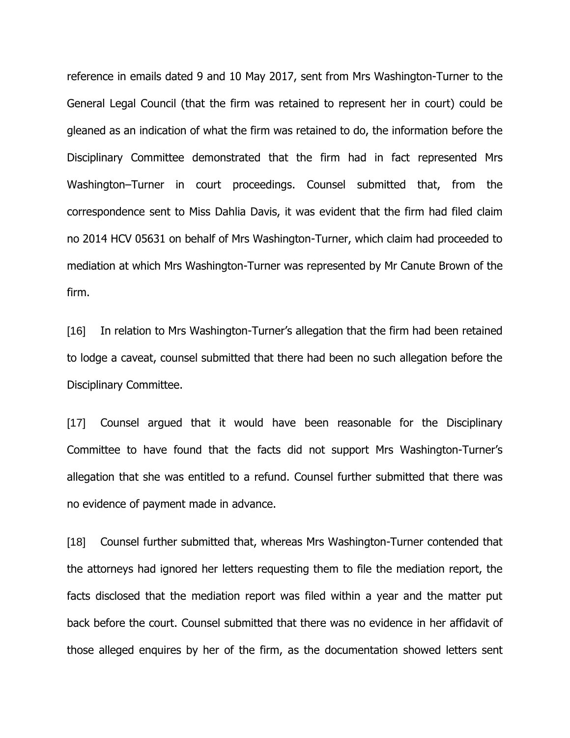reference in emails dated 9 and 10 May 2017, sent from Mrs Washington-Turner to the General Legal Council (that the firm was retained to represent her in court) could be gleaned as an indication of what the firm was retained to do, the information before the Disciplinary Committee demonstrated that the firm had in fact represented Mrs Washington–Turner in court proceedings. Counsel submitted that, from the correspondence sent to Miss Dahlia Davis, it was evident that the firm had filed claim no 2014 HCV 05631 on behalf of Mrs Washington-Turner, which claim had proceeded to mediation at which Mrs Washington-Turner was represented by Mr Canute Brown of the firm.

[16] In relation to Mrs Washington-Turner's allegation that the firm had been retained to lodge a caveat, counsel submitted that there had been no such allegation before the Disciplinary Committee.

[17] Counsel argued that it would have been reasonable for the Disciplinary Committee to have found that the facts did not support Mrs Washington-Turner's allegation that she was entitled to a refund. Counsel further submitted that there was no evidence of payment made in advance.

[18] Counsel further submitted that, whereas Mrs Washington-Turner contended that the attorneys had ignored her letters requesting them to file the mediation report, the facts disclosed that the mediation report was filed within a year and the matter put back before the court. Counsel submitted that there was no evidence in her affidavit of those alleged enquires by her of the firm, as the documentation showed letters sent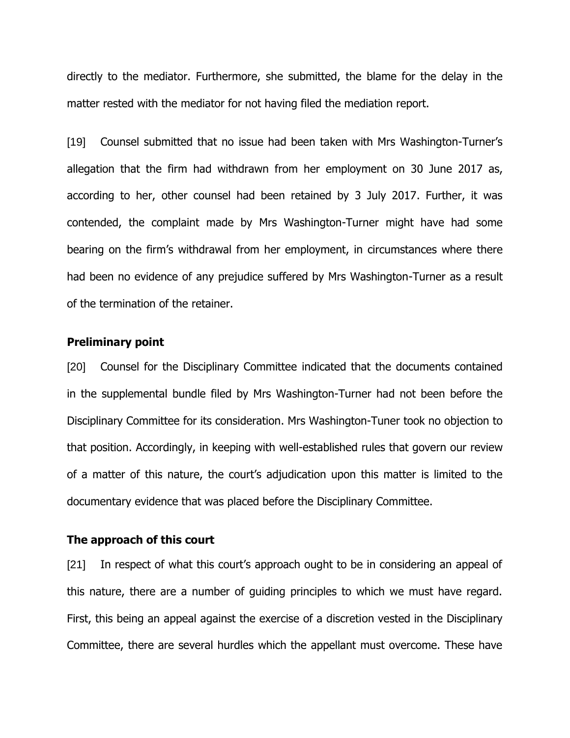directly to the mediator. Furthermore, she submitted, the blame for the delay in the matter rested with the mediator for not having filed the mediation report.

[19] Counsel submitted that no issue had been taken with Mrs Washington-Turner's allegation that the firm had withdrawn from her employment on 30 June 2017 as, according to her, other counsel had been retained by 3 July 2017. Further, it was contended, the complaint made by Mrs Washington-Turner might have had some bearing on the firm's withdrawal from her employment, in circumstances where there had been no evidence of any prejudice suffered by Mrs Washington-Turner as a result of the termination of the retainer.

### **Preliminary point**

[20] Counsel for the Disciplinary Committee indicated that the documents contained in the supplemental bundle filed by Mrs Washington-Turner had not been before the Disciplinary Committee for its consideration. Mrs Washington-Tuner took no objection to that position. Accordingly, in keeping with well-established rules that govern our review of a matter of this nature, the court's adjudication upon this matter is limited to the documentary evidence that was placed before the Disciplinary Committee.

#### **The approach of this court**

[21] In respect of what this court's approach ought to be in considering an appeal of this nature, there are a number of guiding principles to which we must have regard. First, this being an appeal against the exercise of a discretion vested in the Disciplinary Committee, there are several hurdles which the appellant must overcome. These have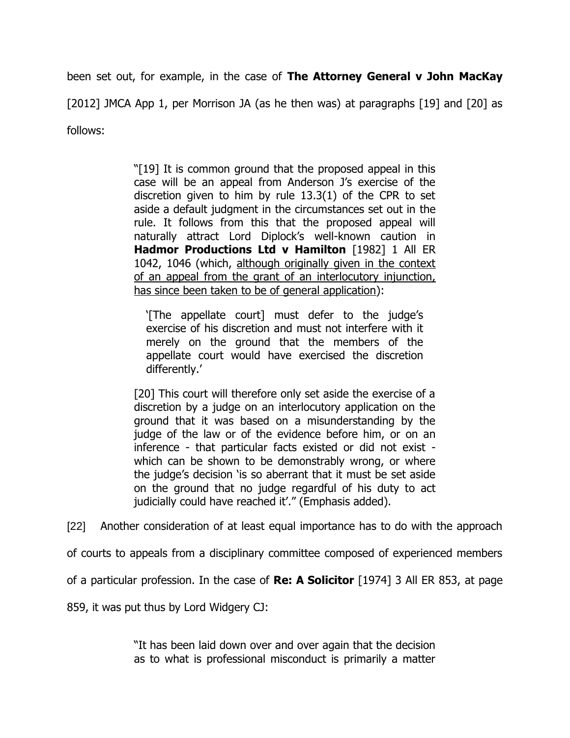been set out, for example, in the case of **The Attorney General v John MacKay**

[2012] JMCA App 1, per Morrison JA (as he then was) at paragraphs [19] and [20] as

follows:

"[19] It is common ground that the proposed appeal in this case will be an appeal from Anderson J's exercise of the discretion given to him by rule 13.3(1) of the CPR to set aside a default judgment in the circumstances set out in the rule. It follows from this that the proposed appeal will naturally attract Lord Diplock's well-known caution in **Hadmor Productions Ltd v Hamilton** [1982] 1 All ER 1042, 1046 (which, although originally given in the context of an appeal from the grant of an interlocutory injunction, has since been taken to be of general application):

'[The appellate court] must defer to the judge's exercise of his discretion and must not interfere with it merely on the ground that the members of the appellate court would have exercised the discretion differently.'

[20] This court will therefore only set aside the exercise of a discretion by a judge on an interlocutory application on the ground that it was based on a misunderstanding by the judge of the law or of the evidence before him, or on an inference - that particular facts existed or did not exist which can be shown to be demonstrably wrong, or where the judge's decision 'is so aberrant that it must be set aside on the ground that no judge regardful of his duty to act judicially could have reached it'." (Emphasis added).

[22] Another consideration of at least equal importance has to do with the approach

of courts to appeals from a disciplinary committee composed of experienced members

of a particular profession. In the case of **Re: A Solicitor** [1974] 3 All ER 853, at page

859, it was put thus by Lord Widgery CJ:

"It has been laid down over and over again that the decision as to what is professional misconduct is primarily a matter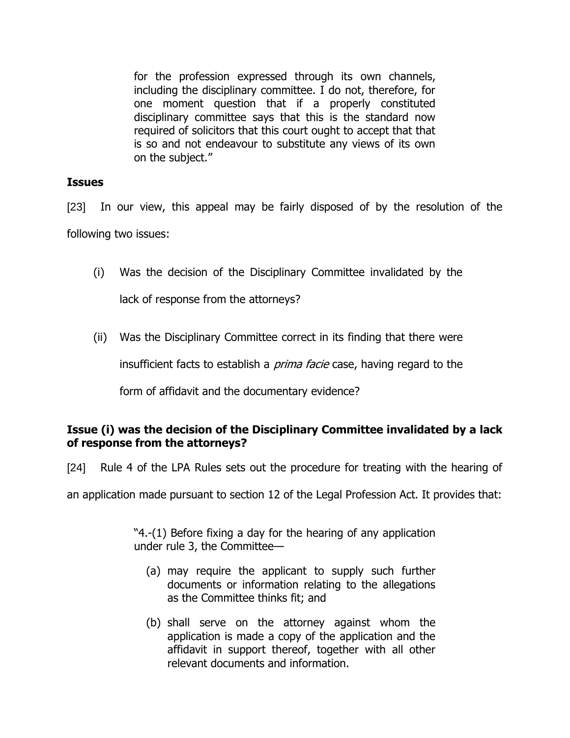for the profession expressed through its own channels, including the disciplinary committee. I do not, therefore, for one moment question that if a properly constituted disciplinary committee says that this is the standard now required of solicitors that this court ought to accept that that is so and not endeavour to substitute any views of its own on the subject."

### **Issues**

[23] In our view, this appeal may be fairly disposed of by the resolution of the following two issues:

- (i) Was the decision of the Disciplinary Committee invalidated by the lack of response from the attorneys?
- (ii) Was the Disciplinary Committee correct in its finding that there were

insufficient facts to establish a *prima facie* case, having regard to the

form of affidavit and the documentary evidence?

# **Issue (i) was the decision of the Disciplinary Committee invalidated by a lack of response from the attorneys?**

[24] Rule 4 of the LPA Rules sets out the procedure for treating with the hearing of

an application made pursuant to section 12 of the Legal Profession Act. It provides that:

"4.-(1) Before fixing a day for the hearing of any application under rule 3, the Committee—

- (a) may require the applicant to supply such further documents or information relating to the allegations as the Committee thinks fit; and
- (b) shall serve on the attorney against whom the application is made a copy of the application and the affidavit in support thereof, together with all other relevant documents and information.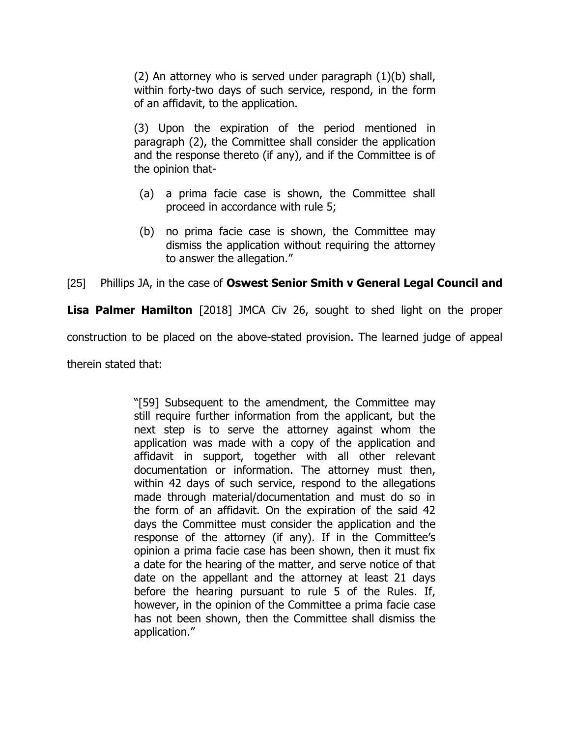(2) An attorney who is served under paragraph (1)(b) shall, within forty-two days of such service, respond, in the form of an affidavit, to the application.

(3) Upon the expiration of the period mentioned in paragraph (2), the Committee shall consider the application and the response thereto (if any), and if the Committee is of the opinion that-

- (a) a prima facie case is shown, the Committee shall proceed in accordance with rule 5;
- (b) no prima facie case is shown, the Committee may dismiss the application without requiring the attorney to answer the allegation."

# [25] Phillips JA, in the case of **Oswest Senior Smith v General Legal Council and**

**Lisa Palmer Hamilton** [2018] JMCA Civ 26, sought to shed light on the proper

construction to be placed on the above-stated provision. The learned judge of appeal

therein stated that:

"[59] Subsequent to the amendment, the Committee may still require further information from the applicant, but the next step is to serve the attorney against whom the application was made with a copy of the application and affidavit in support, together with all other relevant documentation or information. The attorney must then, within 42 days of such service, respond to the allegations made through material/documentation and must do so in the form of an affidavit. On the expiration of the said 42 days the Committee must consider the application and the response of the attorney (if any). If in the Committee's opinion a prima facie case has been shown, then it must fix a date for the hearing of the matter, and serve notice of that date on the appellant and the attorney at least 21 days before the hearing pursuant to rule 5 of the Rules. If, however, in the opinion of the Committee a prima facie case has not been shown, then the Committee shall dismiss the application."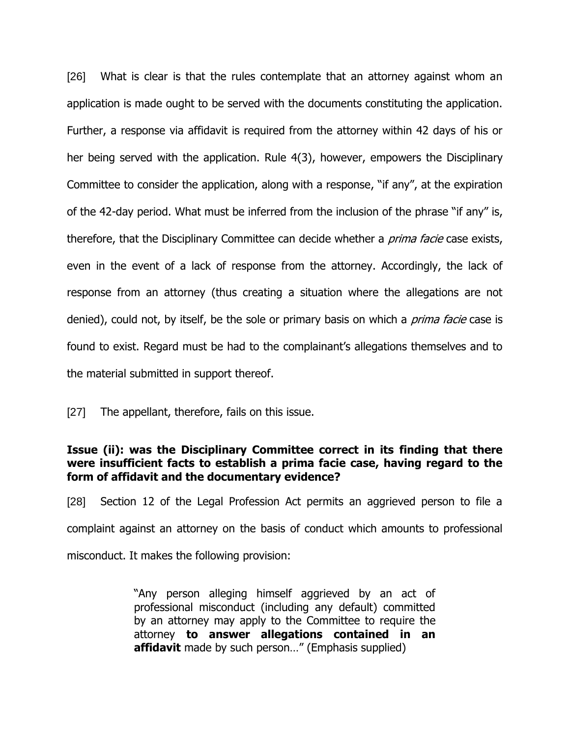[26] What is clear is that the rules contemplate that an attorney against whom an application is made ought to be served with the documents constituting the application. Further, a response via affidavit is required from the attorney within 42 days of his or her being served with the application. Rule 4(3), however, empowers the Disciplinary Committee to consider the application, along with a response, "if any", at the expiration of the 42-day period. What must be inferred from the inclusion of the phrase "if any" is, therefore, that the Disciplinary Committee can decide whether a *prima facie* case exists, even in the event of a lack of response from the attorney. Accordingly, the lack of response from an attorney (thus creating a situation where the allegations are not denied), could not, by itself, be the sole or primary basis on which a *prima facie* case is found to exist. Regard must be had to the complainant's allegations themselves and to the material submitted in support thereof.

[27] The appellant, therefore, fails on this issue.

# **Issue (ii): was the Disciplinary Committee correct in its finding that there were insufficient facts to establish a prima facie case, having regard to the form of affidavit and the documentary evidence?**

[28] Section 12 of the Legal Profession Act permits an aggrieved person to file a complaint against an attorney on the basis of conduct which amounts to professional misconduct. It makes the following provision:

> "Any person alleging himself aggrieved by an act of professional misconduct (including any default) committed by an attorney may apply to the Committee to require the attorney **to answer allegations contained in an affidavit** made by such person…" (Emphasis supplied)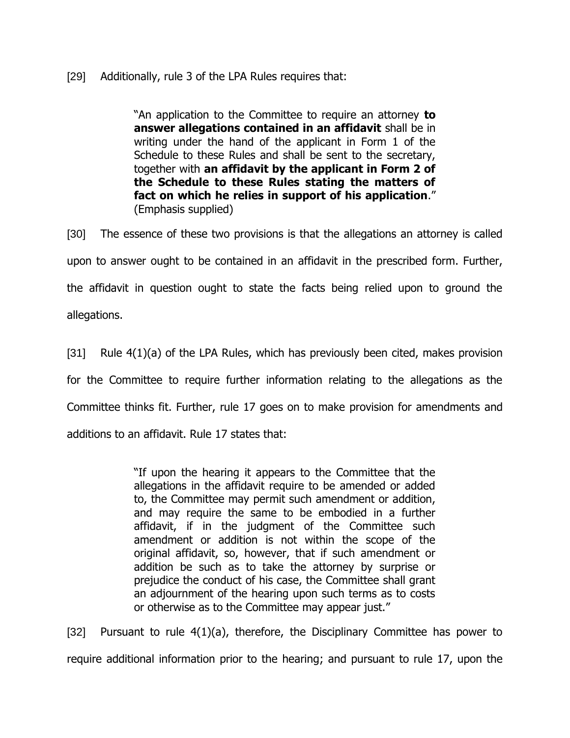# [29] Additionally, rule 3 of the LPA Rules requires that:

"An application to the Committee to require an attorney **to answer allegations contained in an affidavit** shall be in writing under the hand of the applicant in Form 1 of the Schedule to these Rules and shall be sent to the secretary, together with **an affidavit by the applicant in Form 2 of the Schedule to these Rules stating the matters of fact on which he relies in support of his application**." (Emphasis supplied)

[30] The essence of these two provisions is that the allegations an attorney is called upon to answer ought to be contained in an affidavit in the prescribed form. Further, the affidavit in question ought to state the facts being relied upon to ground the allegations.

[31] Rule 4(1)(a) of the LPA Rules, which has previously been cited, makes provision for the Committee to require further information relating to the allegations as the Committee thinks fit. Further, rule 17 goes on to make provision for amendments and additions to an affidavit. Rule 17 states that:

> "If upon the hearing it appears to the Committee that the allegations in the affidavit require to be amended or added to, the Committee may permit such amendment or addition, and may require the same to be embodied in a further affidavit, if in the judgment of the Committee such amendment or addition is not within the scope of the original affidavit, so, however, that if such amendment or addition be such as to take the attorney by surprise or prejudice the conduct of his case, the Committee shall grant an adjournment of the hearing upon such terms as to costs or otherwise as to the Committee may appear just."

[32] Pursuant to rule  $4(1)(a)$ , therefore, the Disciplinary Committee has power to require additional information prior to the hearing; and pursuant to rule 17, upon the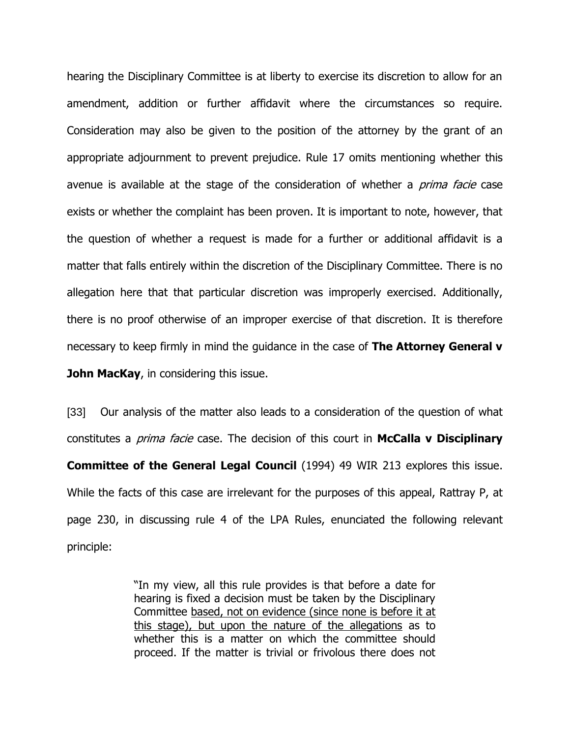hearing the Disciplinary Committee is at liberty to exercise its discretion to allow for an amendment, addition or further affidavit where the circumstances so require. Consideration may also be given to the position of the attorney by the grant of an appropriate adjournment to prevent prejudice. Rule 17 omits mentioning whether this avenue is available at the stage of the consideration of whether a *prima facie* case exists or whether the complaint has been proven. It is important to note, however, that the question of whether a request is made for a further or additional affidavit is a matter that falls entirely within the discretion of the Disciplinary Committee. There is no allegation here that that particular discretion was improperly exercised. Additionally, there is no proof otherwise of an improper exercise of that discretion. It is therefore necessary to keep firmly in mind the guidance in the case of **The Attorney General v John MacKay, in considering this issue.** 

[33] Our analysis of the matter also leads to a consideration of the question of what constitutes a prima facie case. The decision of this court in **McCalla v Disciplinary Committee of the General Legal Council** (1994) 49 WIR 213 explores this issue. While the facts of this case are irrelevant for the purposes of this appeal, Rattray P, at page 230, in discussing rule 4 of the LPA Rules, enunciated the following relevant principle:

> "In my view, all this rule provides is that before a date for hearing is fixed a decision must be taken by the Disciplinary Committee based, not on evidence (since none is before it at this stage), but upon the nature of the allegations as to whether this is a matter on which the committee should proceed. If the matter is trivial or frivolous there does not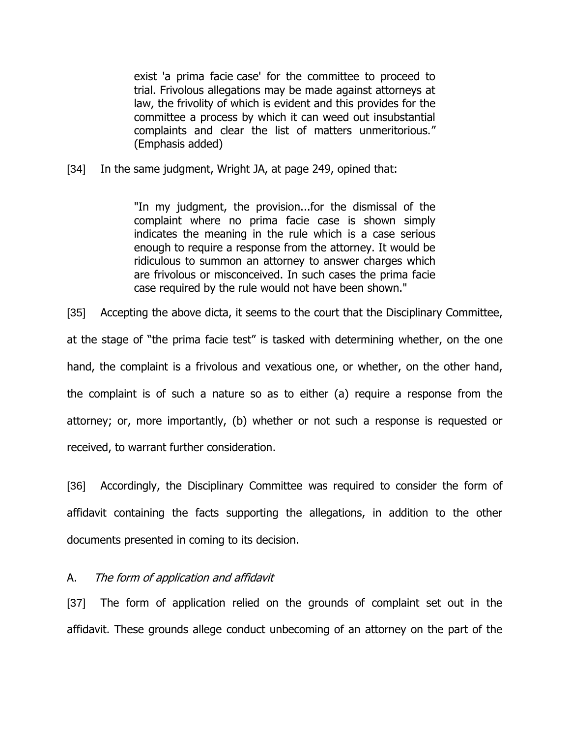exist 'a prima facie case' for the committee to proceed to trial. Frivolous allegations may be made against attorneys at law, the frivolity of which is evident and this provides for the committee a process by which it can weed out insubstantial complaints and clear the list of matters unmeritorious." (Emphasis added)

[34] In the same judgment, Wright JA, at page 249, opined that:

"In my judgment, the provision...for the dismissal of the complaint where no prima facie case is shown simply indicates the meaning in the rule which is a case serious enough to require a response from the attorney. It would be ridiculous to summon an attorney to answer charges which are frivolous or misconceived. In such cases the prima facie case required by the rule would not have been shown."

[35] Accepting the above dicta, it seems to the court that the Disciplinary Committee, at the stage of "the prima facie test" is tasked with determining whether, on the one hand, the complaint is a frivolous and vexatious one, or whether, on the other hand, the complaint is of such a nature so as to either (a) require a response from the attorney; or, more importantly, (b) whether or not such a response is requested or received, to warrant further consideration.

[36] Accordingly, the Disciplinary Committee was required to consider the form of affidavit containing the facts supporting the allegations, in addition to the other documents presented in coming to its decision.

# A. The form of application and affidavit

[37] The form of application relied on the grounds of complaint set out in the affidavit. These grounds allege conduct unbecoming of an attorney on the part of the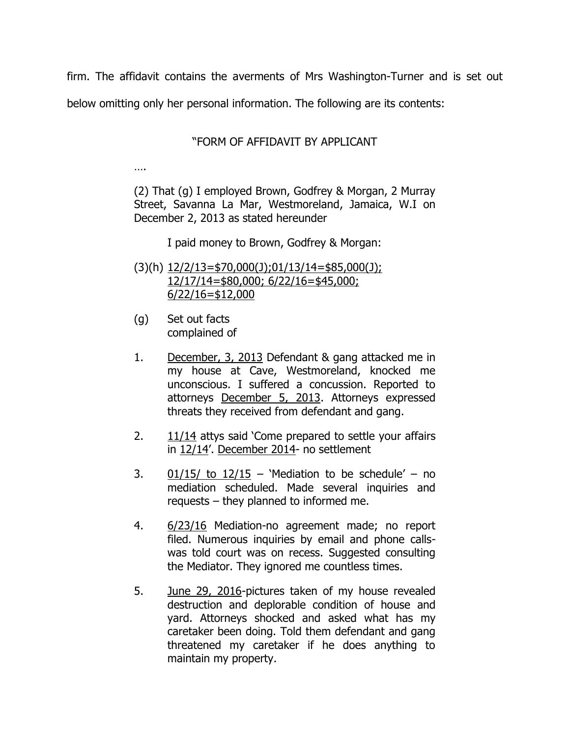firm. The affidavit contains the averments of Mrs Washington-Turner and is set out

below omitting only her personal information. The following are its contents:

# "FORM OF AFFIDAVIT BY APPLICANT

……

(2) That (g) I employed Brown, Godfrey & Morgan, 2 Murray Street, Savanna La Mar, Westmoreland, Jamaica, W.I on December 2, 2013 as stated hereunder

I paid money to Brown, Godfrey & Morgan:

- (3)(h) 12/2/13=\$70,000(J);01/13/14=\$85,000(J); 12/17/14=\$80,000; 6/22/16=\$45,000; 6/22/16=\$12,000
- (g) Set out facts complained of
- 1. December, 3, 2013 Defendant & gang attacked me in my house at Cave, Westmoreland, knocked me unconscious. I suffered a concussion. Reported to attorneys December 5, 2013. Attorneys expressed threats they received from defendant and gang.
- 2. 11/14 attys said 'Come prepared to settle your affairs in 12/14'. December 2014- no settlement
- 3.  $01/15/$  to  $12/15$  'Mediation to be schedule' no mediation scheduled. Made several inquiries and requests – they planned to informed me.
- 4. 6/23/16 Mediation-no agreement made; no report filed. Numerous inquiries by email and phone callswas told court was on recess. Suggested consulting the Mediator. They ignored me countless times.
- 5. June 29, 2016-pictures taken of my house revealed destruction and deplorable condition of house and yard. Attorneys shocked and asked what has my caretaker been doing. Told them defendant and gang threatened my caretaker if he does anything to maintain my property.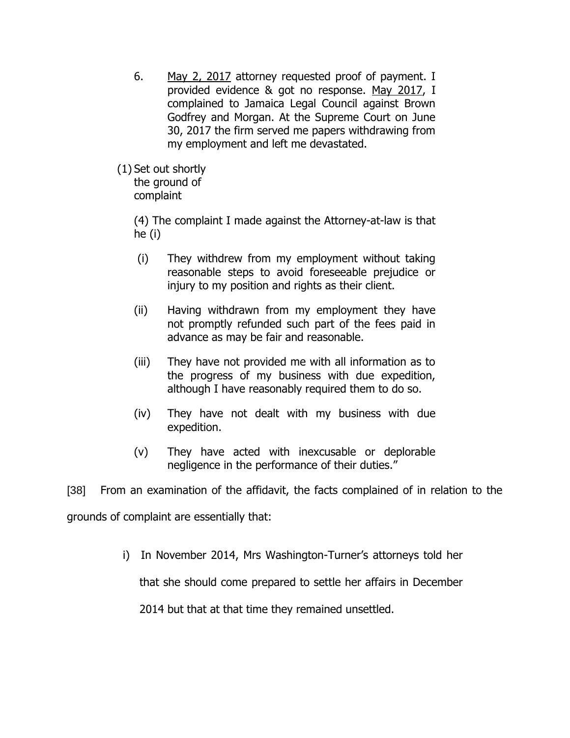- 6. May 2, 2017 attorney requested proof of payment. I provided evidence & got no response. May 2017, I complained to Jamaica Legal Council against Brown Godfrey and Morgan. At the Supreme Court on June 30, 2017 the firm served me papers withdrawing from my employment and left me devastated.
- (1) Set out shortly the ground of complaint

(4) The complaint I made against the Attorney-at-law is that he (i)

- (i) They withdrew from my employment without taking reasonable steps to avoid foreseeable prejudice or injury to my position and rights as their client.
- (ii) Having withdrawn from my employment they have not promptly refunded such part of the fees paid in advance as may be fair and reasonable.
- (iii) They have not provided me with all information as to the progress of my business with due expedition, although I have reasonably required them to do so.
- (iv) They have not dealt with my business with due expedition.
- (v) They have acted with inexcusable or deplorable negligence in the performance of their duties."

[38] From an examination of the affidavit, the facts complained of in relation to the

grounds of complaint are essentially that:

i) In November 2014, Mrs Washington-Turner's attorneys told her

that she should come prepared to settle her affairs in December

2014 but that at that time they remained unsettled.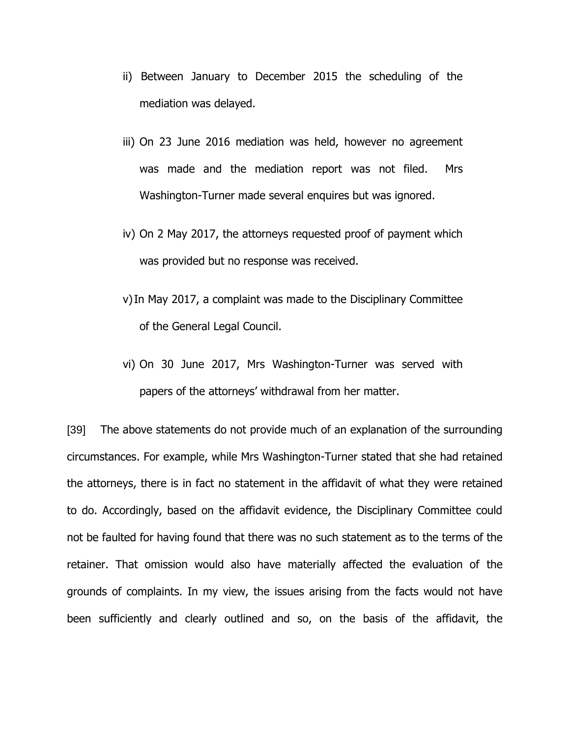- ii) Between January to December 2015 the scheduling of the mediation was delayed.
- iii) On 23 June 2016 mediation was held, however no agreement was made and the mediation report was not filed. Mrs Washington-Turner made several enquires but was ignored.
- iv) On 2 May 2017, the attorneys requested proof of payment which was provided but no response was received.
- v)In May 2017, a complaint was made to the Disciplinary Committee of the General Legal Council.
- vi) On 30 June 2017, Mrs Washington-Turner was served with papers of the attorneys' withdrawal from her matter.

[39] The above statements do not provide much of an explanation of the surrounding circumstances. For example, while Mrs Washington-Turner stated that she had retained the attorneys, there is in fact no statement in the affidavit of what they were retained to do. Accordingly, based on the affidavit evidence, the Disciplinary Committee could not be faulted for having found that there was no such statement as to the terms of the retainer. That omission would also have materially affected the evaluation of the grounds of complaints. In my view, the issues arising from the facts would not have been sufficiently and clearly outlined and so, on the basis of the affidavit, the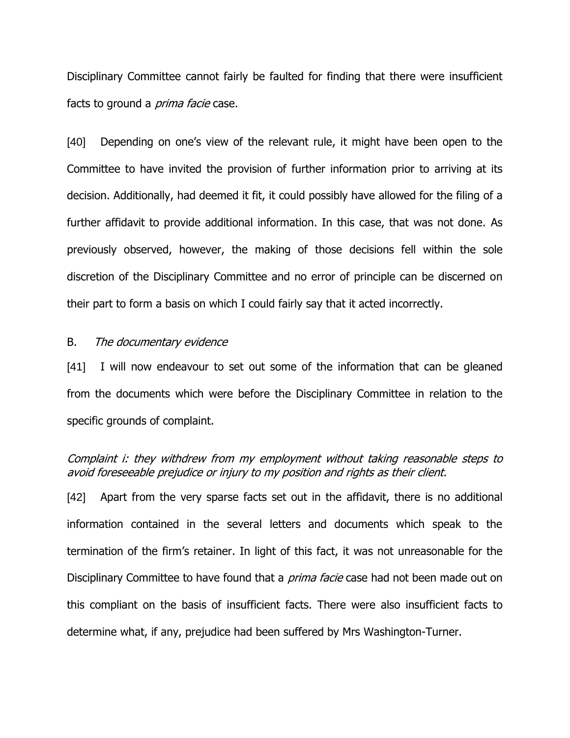Disciplinary Committee cannot fairly be faulted for finding that there were insufficient facts to ground a *prima facie* case.

[40] Depending on one's view of the relevant rule, it might have been open to the Committee to have invited the provision of further information prior to arriving at its decision. Additionally, had deemed it fit, it could possibly have allowed for the filing of a further affidavit to provide additional information. In this case, that was not done. As previously observed, however, the making of those decisions fell within the sole discretion of the Disciplinary Committee and no error of principle can be discerned on their part to form a basis on which I could fairly say that it acted incorrectly.

#### B. The documentary evidence

[41] I will now endeavour to set out some of the information that can be gleaned from the documents which were before the Disciplinary Committee in relation to the specific grounds of complaint.

# Complaint i: they withdrew from my employment without taking reasonable steps to avoid foreseeable prejudice or injury to my position and rights as their client.

[42] Apart from the very sparse facts set out in the affidavit, there is no additional information contained in the several letters and documents which speak to the termination of the firm's retainer. In light of this fact, it was not unreasonable for the Disciplinary Committee to have found that a *prima facie* case had not been made out on this compliant on the basis of insufficient facts. There were also insufficient facts to determine what, if any, prejudice had been suffered by Mrs Washington-Turner.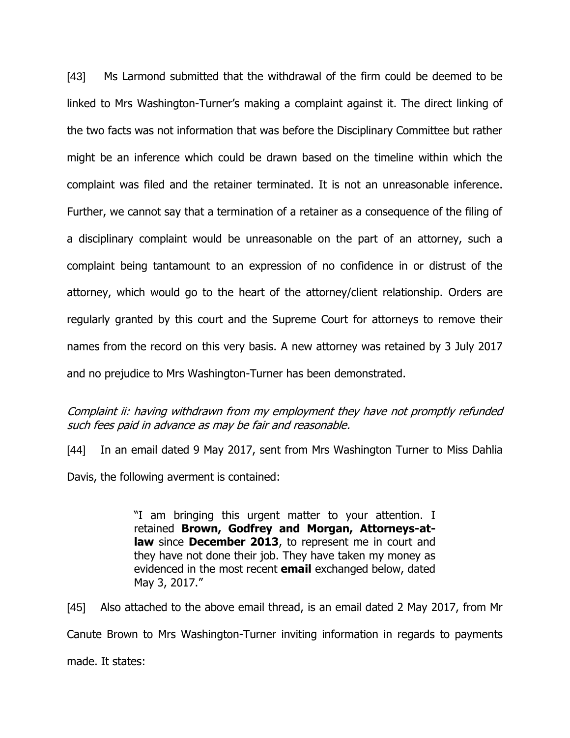[43] Ms Larmond submitted that the withdrawal of the firm could be deemed to be linked to Mrs Washington-Turner's making a complaint against it. The direct linking of the two facts was not information that was before the Disciplinary Committee but rather might be an inference which could be drawn based on the timeline within which the complaint was filed and the retainer terminated. It is not an unreasonable inference. Further, we cannot say that a termination of a retainer as a consequence of the filing of a disciplinary complaint would be unreasonable on the part of an attorney, such a complaint being tantamount to an expression of no confidence in or distrust of the attorney, which would go to the heart of the attorney/client relationship. Orders are regularly granted by this court and the Supreme Court for attorneys to remove their names from the record on this very basis. A new attorney was retained by 3 July 2017 and no prejudice to Mrs Washington-Turner has been demonstrated.

# Complaint ii: having withdrawn from my employment they have not promptly refunded such fees paid in advance as may be fair and reasonable.

[44] In an email dated 9 May 2017, sent from Mrs Washington Turner to Miss Dahlia Davis, the following averment is contained:

> "I am bringing this urgent matter to your attention. I retained **Brown, Godfrey and Morgan, Attorneys-atlaw** since **December 2013**, to represent me in court and they have not done their job. They have taken my money as evidenced in the most recent **email** exchanged below, dated May 3, 2017."

[45] Also attached to the above email thread, is an email dated 2 May 2017, from Mr Canute Brown to Mrs Washington-Turner inviting information in regards to payments made. It states: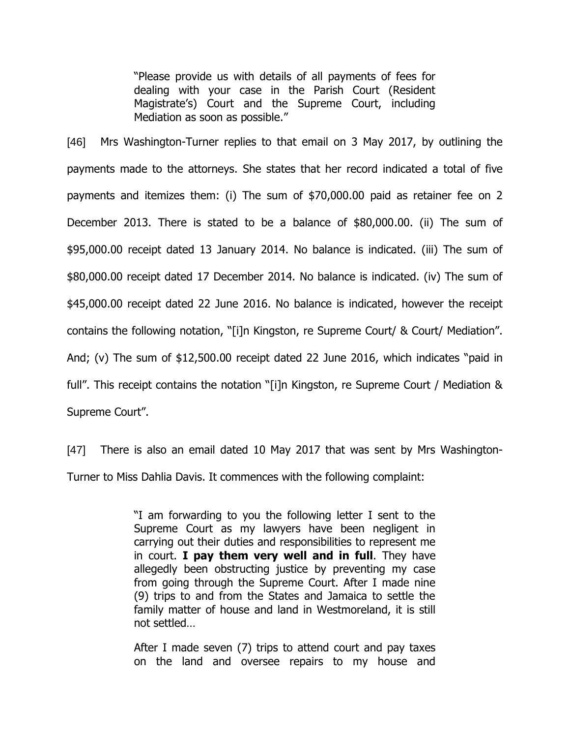"Please provide us with details of all payments of fees for dealing with your case in the Parish Court (Resident Magistrate's) Court and the Supreme Court, including Mediation as soon as possible."

[46] Mrs Washington-Turner replies to that email on 3 May 2017, by outlining the payments made to the attorneys. She states that her record indicated a total of five payments and itemizes them: (i) The sum of \$70,000.00 paid as retainer fee on 2 December 2013. There is stated to be a balance of \$80,000.00. (ii) The sum of \$95,000.00 receipt dated 13 January 2014. No balance is indicated. (iii) The sum of \$80,000.00 receipt dated 17 December 2014. No balance is indicated. (iv) The sum of \$45,000.00 receipt dated 22 June 2016. No balance is indicated, however the receipt contains the following notation, "[i]n Kingston, re Supreme Court/ & Court/ Mediation". And; (v) The sum of \$12,500.00 receipt dated 22 June 2016, which indicates "paid in full". This receipt contains the notation "[i]n Kingston, re Supreme Court / Mediation & Supreme Court".

[47] There is also an email dated 10 May 2017 that was sent by Mrs Washington-Turner to Miss Dahlia Davis. It commences with the following complaint:

> "I am forwarding to you the following letter I sent to the Supreme Court as my lawyers have been negligent in carrying out their duties and responsibilities to represent me in court. **I pay them very well and in full**. They have allegedly been obstructing justice by preventing my case from going through the Supreme Court. After I made nine (9) trips to and from the States and Jamaica to settle the family matter of house and land in Westmoreland, it is still not settled…

> After I made seven (7) trips to attend court and pay taxes on the land and oversee repairs to my house and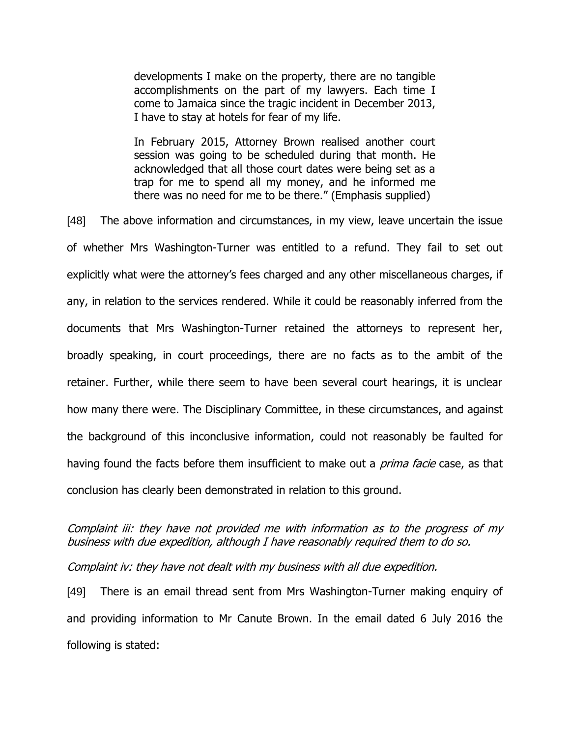developments I make on the property, there are no tangible accomplishments on the part of my lawyers. Each time I come to Jamaica since the tragic incident in December 2013, I have to stay at hotels for fear of my life.

In February 2015, Attorney Brown realised another court session was going to be scheduled during that month. He acknowledged that all those court dates were being set as a trap for me to spend all my money, and he informed me there was no need for me to be there." (Emphasis supplied)

[48] The above information and circumstances, in my view, leave uncertain the issue of whether Mrs Washington-Turner was entitled to a refund. They fail to set out explicitly what were the attorney's fees charged and any other miscellaneous charges, if any, in relation to the services rendered. While it could be reasonably inferred from the documents that Mrs Washington-Turner retained the attorneys to represent her, broadly speaking, in court proceedings, there are no facts as to the ambit of the retainer. Further, while there seem to have been several court hearings, it is unclear how many there were. The Disciplinary Committee, in these circumstances, and against the background of this inconclusive information, could not reasonably be faulted for having found the facts before them insufficient to make out a *prima facie* case, as that conclusion has clearly been demonstrated in relation to this ground.

# Complaint iii: they have not provided me with information as to the progress of my business with due expedition, although I have reasonably required them to do so.

Complaint iv: they have not dealt with my business with all due expedition.

[49] There is an email thread sent from Mrs Washington-Turner making enquiry of and providing information to Mr Canute Brown. In the email dated 6 July 2016 the following is stated: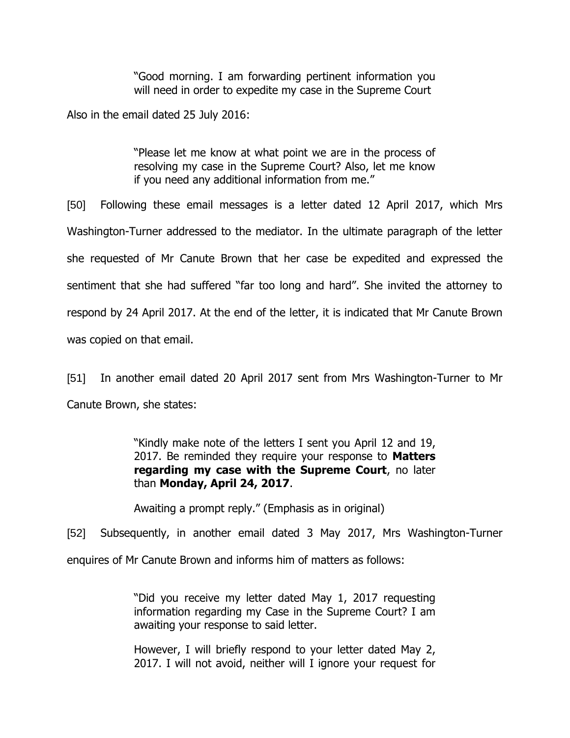"Good morning. I am forwarding pertinent information you will need in order to expedite my case in the Supreme Court

Also in the email dated 25 July 2016:

"Please let me know at what point we are in the process of resolving my case in the Supreme Court? Also, let me know if you need any additional information from me."

[50] Following these email messages is a letter dated 12 April 2017, which Mrs Washington-Turner addressed to the mediator. In the ultimate paragraph of the letter she requested of Mr Canute Brown that her case be expedited and expressed the sentiment that she had suffered "far too long and hard". She invited the attorney to respond by 24 April 2017. At the end of the letter, it is indicated that Mr Canute Brown was copied on that email.

[51] In another email dated 20 April 2017 sent from Mrs Washington-Turner to Mr Canute Brown, she states:

> "Kindly make note of the letters I sent you April 12 and 19, 2017. Be reminded they require your response to **Matters regarding my case with the Supreme Court**, no later than **Monday, April 24, 2017**.

Awaiting a prompt reply." (Emphasis as in original)

[52] Subsequently, in another email dated 3 May 2017, Mrs Washington-Turner

enquires of Mr Canute Brown and informs him of matters as follows:

"Did you receive my letter dated May 1, 2017 requesting information regarding my Case in the Supreme Court? I am awaiting your response to said letter.

However, I will briefly respond to your letter dated May 2, 2017. I will not avoid, neither will I ignore your request for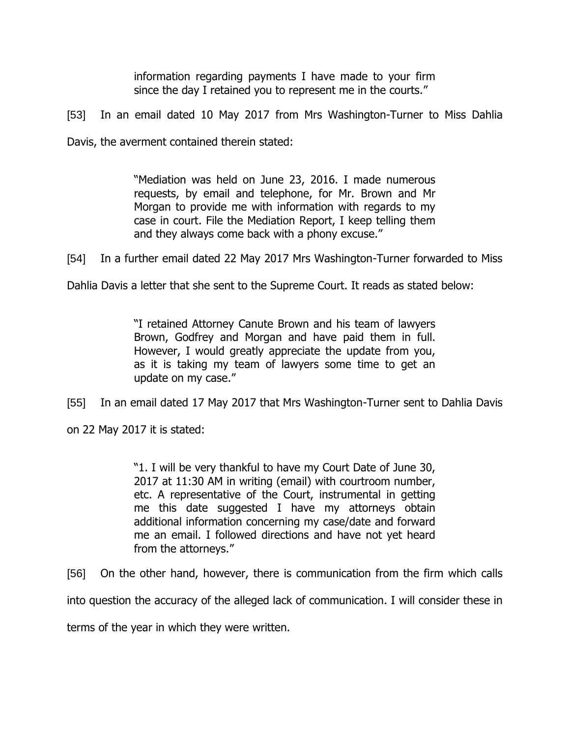information regarding payments I have made to your firm since the day I retained you to represent me in the courts."

[53] In an email dated 10 May 2017 from Mrs Washington-Turner to Miss Dahlia

Davis, the averment contained therein stated:

"Mediation was held on June 23, 2016. I made numerous requests, by email and telephone, for Mr. Brown and Mr Morgan to provide me with information with regards to my case in court. File the Mediation Report, I keep telling them and they always come back with a phony excuse."

[54] In a further email dated 22 May 2017 Mrs Washington-Turner forwarded to Miss

Dahlia Davis a letter that she sent to the Supreme Court. It reads as stated below:

"I retained Attorney Canute Brown and his team of lawyers Brown, Godfrey and Morgan and have paid them in full. However, I would greatly appreciate the update from you, as it is taking my team of lawyers some time to get an update on my case."

[55] In an email dated 17 May 2017 that Mrs Washington-Turner sent to Dahlia Davis

on 22 May 2017 it is stated:

"1. I will be very thankful to have my Court Date of June 30, 2017 at 11:30 AM in writing (email) with courtroom number, etc. A representative of the Court, instrumental in getting me this date suggested I have my attorneys obtain additional information concerning my case/date and forward me an email. I followed directions and have not yet heard from the attorneys."

[56] On the other hand, however, there is communication from the firm which calls

into question the accuracy of the alleged lack of communication. I will consider these in

terms of the year in which they were written.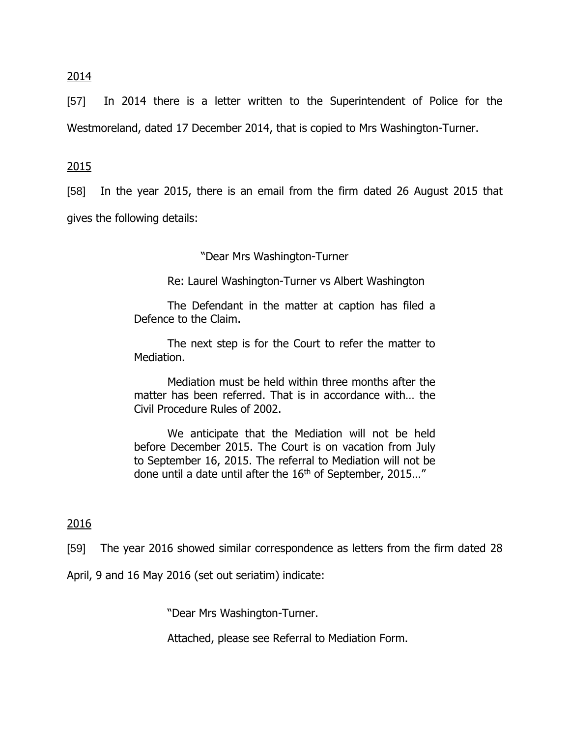## 2014

[57] In 2014 there is a letter written to the Superintendent of Police for the Westmoreland, dated 17 December 2014, that is copied to Mrs Washington-Turner.

## 2015

[58] In the year 2015, there is an email from the firm dated 26 August 2015 that gives the following details:

"Dear Mrs Washington-Turner

Re: Laurel Washington-Turner vs Albert Washington

The Defendant in the matter at caption has filed a Defence to the Claim.

The next step is for the Court to refer the matter to Mediation.

Mediation must be held within three months after the matter has been referred. That is in accordance with… the Civil Procedure Rules of 2002.

We anticipate that the Mediation will not be held before December 2015. The Court is on vacation from July to September 16, 2015. The referral to Mediation will not be done until a date until after the  $16<sup>th</sup>$  of September, 2015..."

### 2016

[59] The year 2016 showed similar correspondence as letters from the firm dated 28

April, 9 and 16 May 2016 (set out seriatim) indicate:

"Dear Mrs Washington-Turner.

Attached, please see Referral to Mediation Form.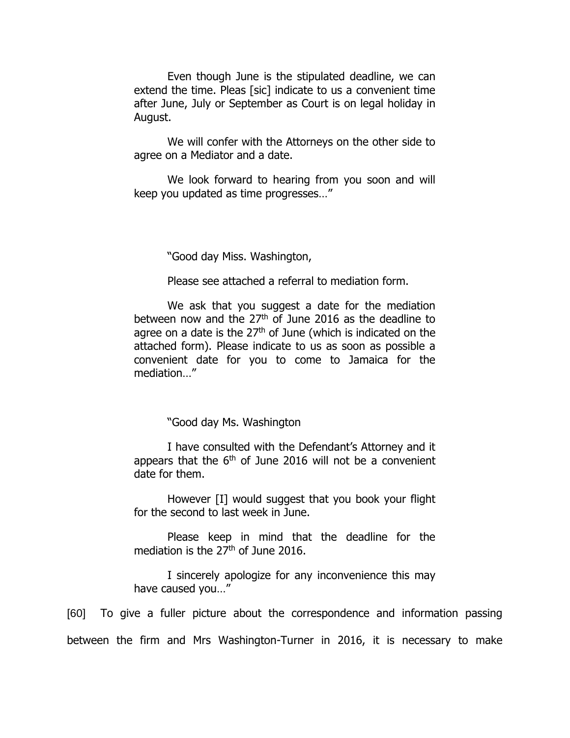Even though June is the stipulated deadline, we can extend the time. Pleas [sic] indicate to us a convenient time after June, July or September as Court is on legal holiday in August.

We will confer with the Attorneys on the other side to agree on a Mediator and a date.

We look forward to hearing from you soon and will keep you updated as time progresses…"

"Good day Miss. Washington,

Please see attached a referral to mediation form.

We ask that you suggest a date for the mediation between now and the  $27<sup>th</sup>$  of June 2016 as the deadline to agree on a date is the  $27<sup>th</sup>$  of June (which is indicated on the attached form). Please indicate to us as soon as possible a convenient date for you to come to Jamaica for the mediation…"

"Good day Ms. Washington

I have consulted with the Defendant's Attorney and it appears that the  $6<sup>th</sup>$  of June 2016 will not be a convenient date for them.

However [I] would suggest that you book your flight for the second to last week in June.

Please keep in mind that the deadline for the mediation is the 27<sup>th</sup> of June 2016.

I sincerely apologize for any inconvenience this may have caused you…"

[60] To give a fuller picture about the correspondence and information passing between the firm and Mrs Washington-Turner in 2016, it is necessary to make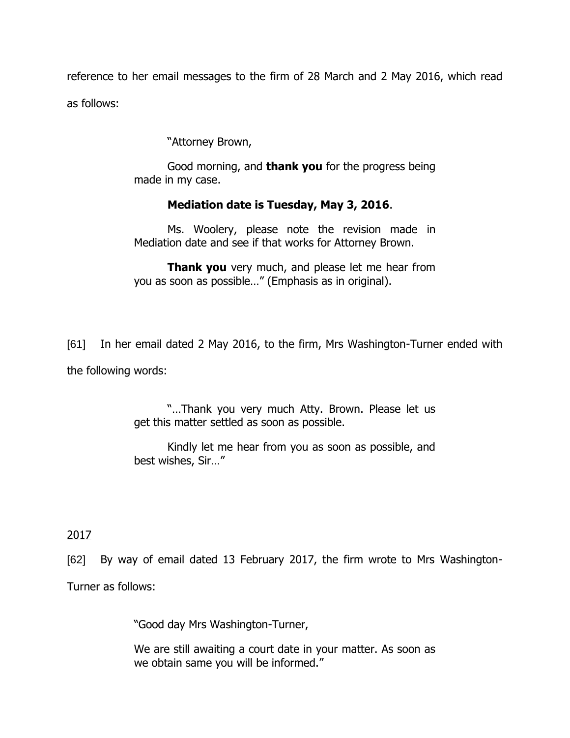reference to her email messages to the firm of 28 March and 2 May 2016, which read as follows:

"Attorney Brown,

Good morning, and **thank you** for the progress being made in my case.

# **Mediation date is Tuesday, May 3, 2016**.

Ms. Woolery, please note the revision made in Mediation date and see if that works for Attorney Brown.

**Thank you** very much, and please let me hear from you as soon as possible…" (Emphasis as in original).

[61] In her email dated 2 May 2016, to the firm, Mrs Washington-Turner ended with

the following words:

"…Thank you very much Atty. Brown. Please let us get this matter settled as soon as possible.

Kindly let me hear from you as soon as possible, and best wishes, Sir…"

2017

[62] By way of email dated 13 February 2017, the firm wrote to Mrs Washington-

Turner as follows:

"Good day Mrs Washington-Turner,

We are still awaiting a court date in your matter. As soon as we obtain same you will be informed."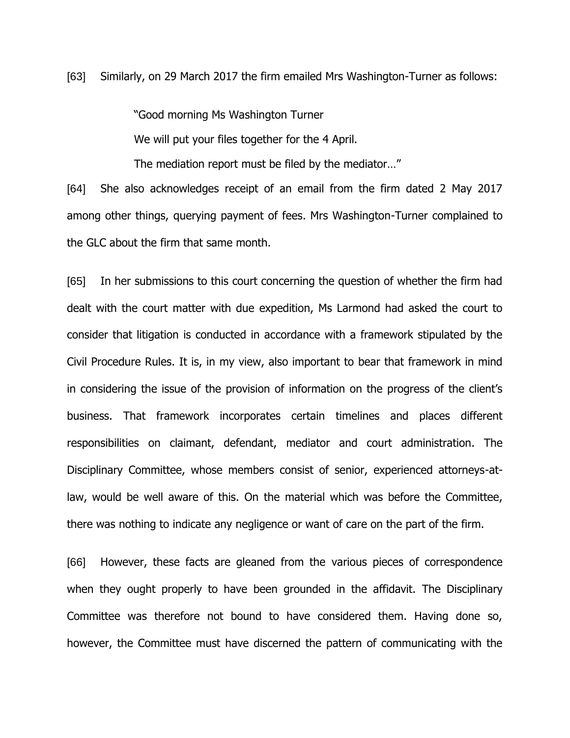[63] Similarly, on 29 March 2017 the firm emailed Mrs Washington-Turner as follows:

"Good morning Ms Washington Turner

We will put your files together for the 4 April.

The mediation report must be filed by the mediator…"

[64] She also acknowledges receipt of an email from the firm dated 2 May 2017 among other things, querying payment of fees. Mrs Washington-Turner complained to the GLC about the firm that same month.

[65] In her submissions to this court concerning the question of whether the firm had dealt with the court matter with due expedition, Ms Larmond had asked the court to consider that litigation is conducted in accordance with a framework stipulated by the Civil Procedure Rules. It is, in my view, also important to bear that framework in mind in considering the issue of the provision of information on the progress of the client's business. That framework incorporates certain timelines and places different responsibilities on claimant, defendant, mediator and court administration. The Disciplinary Committee, whose members consist of senior, experienced attorneys-atlaw, would be well aware of this. On the material which was before the Committee, there was nothing to indicate any negligence or want of care on the part of the firm.

[66] However, these facts are gleaned from the various pieces of correspondence when they ought properly to have been grounded in the affidavit. The Disciplinary Committee was therefore not bound to have considered them. Having done so, however, the Committee must have discerned the pattern of communicating with the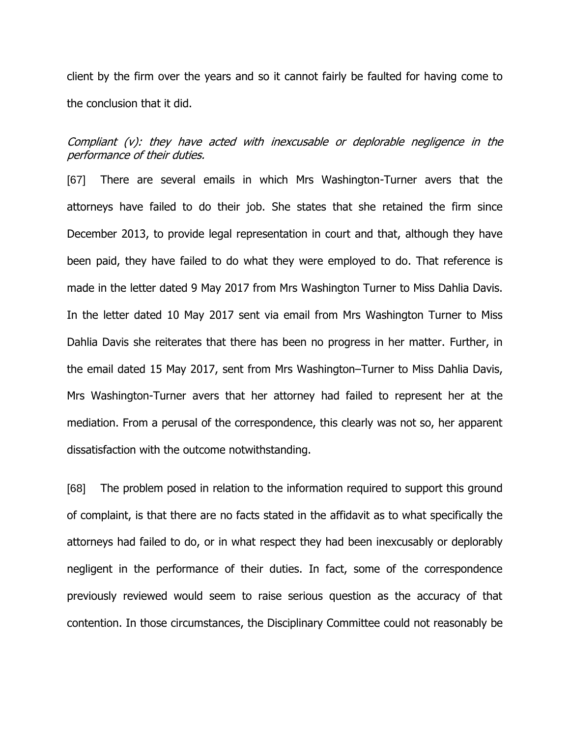client by the firm over the years and so it cannot fairly be faulted for having come to the conclusion that it did.

Compliant (v): they have acted with inexcusable or deplorable negligence in the performance of their duties.

[67] There are several emails in which Mrs Washington-Turner avers that the attorneys have failed to do their job. She states that she retained the firm since December 2013, to provide legal representation in court and that, although they have been paid, they have failed to do what they were employed to do. That reference is made in the letter dated 9 May 2017 from Mrs Washington Turner to Miss Dahlia Davis. In the letter dated 10 May 2017 sent via email from Mrs Washington Turner to Miss Dahlia Davis she reiterates that there has been no progress in her matter. Further, in the email dated 15 May 2017, sent from Mrs Washington–Turner to Miss Dahlia Davis, Mrs Washington-Turner avers that her attorney had failed to represent her at the mediation. From a perusal of the correspondence, this clearly was not so, her apparent dissatisfaction with the outcome notwithstanding.

[68] The problem posed in relation to the information required to support this ground of complaint, is that there are no facts stated in the affidavit as to what specifically the attorneys had failed to do, or in what respect they had been inexcusably or deplorably negligent in the performance of their duties. In fact, some of the correspondence previously reviewed would seem to raise serious question as the accuracy of that contention. In those circumstances, the Disciplinary Committee could not reasonably be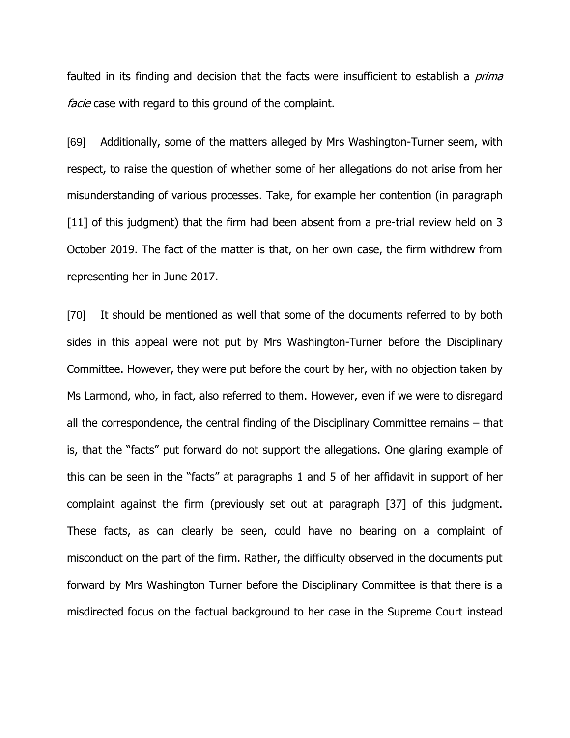faulted in its finding and decision that the facts were insufficient to establish a *prima* facie case with regard to this ground of the complaint.

[69] Additionally, some of the matters alleged by Mrs Washington-Turner seem, with respect, to raise the question of whether some of her allegations do not arise from her misunderstanding of various processes. Take, for example her contention (in paragraph [11] of this judgment) that the firm had been absent from a pre-trial review held on 3 October 2019. The fact of the matter is that, on her own case, the firm withdrew from representing her in June 2017.

[70] It should be mentioned as well that some of the documents referred to by both sides in this appeal were not put by Mrs Washington-Turner before the Disciplinary Committee. However, they were put before the court by her, with no objection taken by Ms Larmond, who, in fact, also referred to them. However, even if we were to disregard all the correspondence, the central finding of the Disciplinary Committee remains – that is, that the "facts" put forward do not support the allegations. One glaring example of this can be seen in the "facts" at paragraphs 1 and 5 of her affidavit in support of her complaint against the firm (previously set out at paragraph [37] of this judgment. These facts, as can clearly be seen, could have no bearing on a complaint of misconduct on the part of the firm. Rather, the difficulty observed in the documents put forward by Mrs Washington Turner before the Disciplinary Committee is that there is a misdirected focus on the factual background to her case in the Supreme Court instead